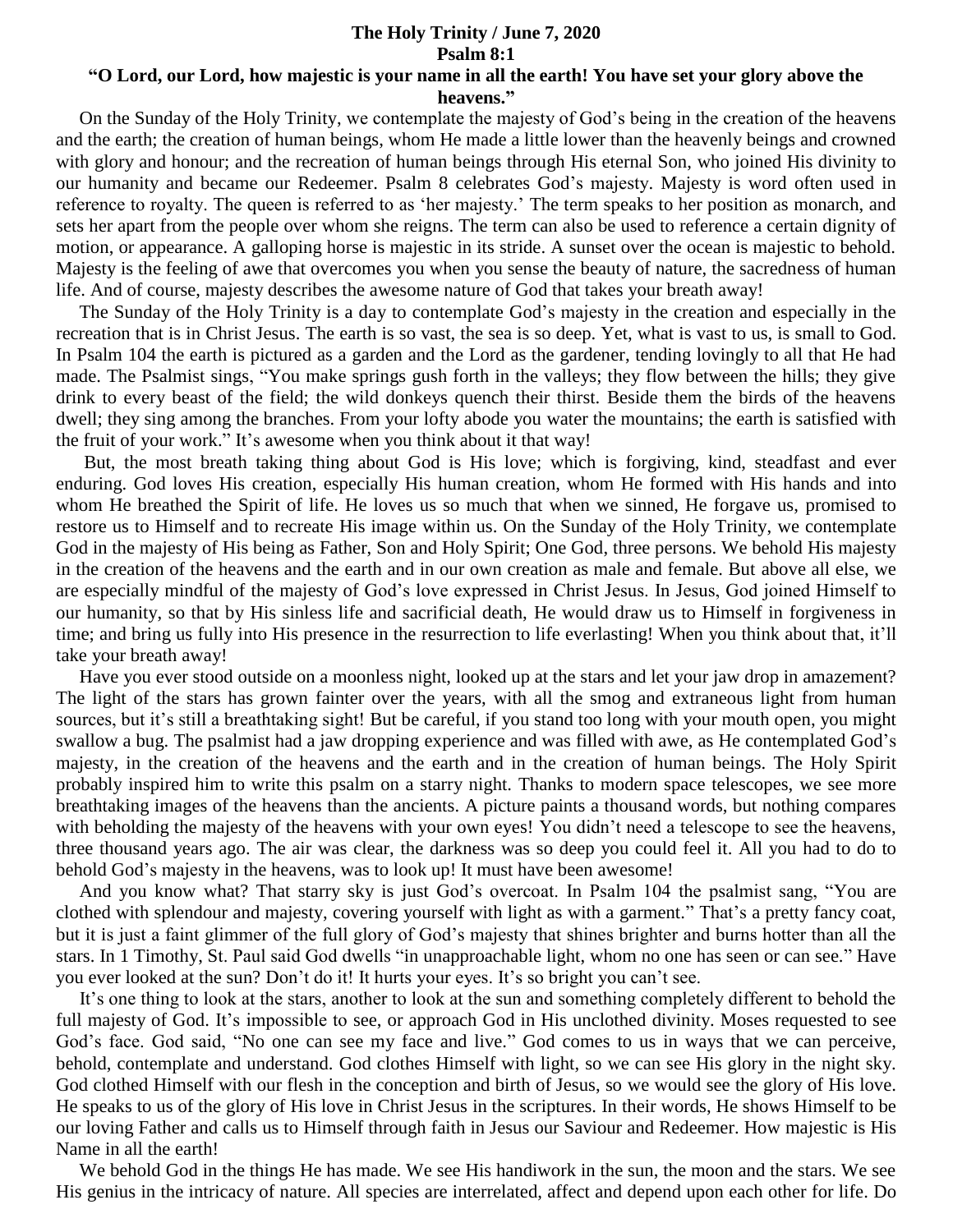## **The Holy Trinity / June 7, 2020 Psalm 8:1**

## **"O Lord, our Lord, how majestic is your name in all the earth! You have set your glory above the heavens."**

 On the Sunday of the Holy Trinity, we contemplate the majesty of God's being in the creation of the heavens and the earth; the creation of human beings, whom He made a little lower than the heavenly beings and crowned with glory and honour; and the recreation of human beings through His eternal Son, who joined His divinity to our humanity and became our Redeemer. Psalm 8 celebrates God's majesty. Majesty is word often used in reference to royalty. The queen is referred to as 'her majesty.' The term speaks to her position as monarch, and sets her apart from the people over whom she reigns. The term can also be used to reference a certain dignity of motion, or appearance. A galloping horse is majestic in its stride. A sunset over the ocean is majestic to behold. Majesty is the feeling of awe that overcomes you when you sense the beauty of nature, the sacredness of human life. And of course, majesty describes the awesome nature of God that takes your breath away!

 The Sunday of the Holy Trinity is a day to contemplate God's majesty in the creation and especially in the recreation that is in Christ Jesus. The earth is so vast, the sea is so deep. Yet, what is vast to us, is small to God. In Psalm 104 the earth is pictured as a garden and the Lord as the gardener, tending lovingly to all that He had made. The Psalmist sings, "You make springs gush forth in the valleys; they flow between the hills; they give drink to every beast of the field; the wild donkeys quench their thirst. Beside them the birds of the heavens dwell; they sing among the branches. From your lofty abode you water the mountains; the earth is satisfied with the fruit of your work." It's awesome when you think about it that way!

 But, the most breath taking thing about God is His love; which is forgiving, kind, steadfast and ever enduring. God loves His creation, especially His human creation, whom He formed with His hands and into whom He breathed the Spirit of life. He loves us so much that when we sinned, He forgave us, promised to restore us to Himself and to recreate His image within us. On the Sunday of the Holy Trinity, we contemplate God in the majesty of His being as Father, Son and Holy Spirit; One God, three persons. We behold His majesty in the creation of the heavens and the earth and in our own creation as male and female. But above all else, we are especially mindful of the majesty of God's love expressed in Christ Jesus. In Jesus, God joined Himself to our humanity, so that by His sinless life and sacrificial death, He would draw us to Himself in forgiveness in time; and bring us fully into His presence in the resurrection to life everlasting! When you think about that, it'll take your breath away!

 Have you ever stood outside on a moonless night, looked up at the stars and let your jaw drop in amazement? The light of the stars has grown fainter over the years, with all the smog and extraneous light from human sources, but it's still a breathtaking sight! But be careful, if you stand too long with your mouth open, you might swallow a bug. The psalmist had a jaw dropping experience and was filled with awe, as He contemplated God's majesty, in the creation of the heavens and the earth and in the creation of human beings. The Holy Spirit probably inspired him to write this psalm on a starry night. Thanks to modern space telescopes, we see more breathtaking images of the heavens than the ancients. A picture paints a thousand words, but nothing compares with beholding the majesty of the heavens with your own eyes! You didn't need a telescope to see the heavens, three thousand years ago. The air was clear, the darkness was so deep you could feel it. All you had to do to behold God's majesty in the heavens, was to look up! It must have been awesome!

 And you know what? That starry sky is just God's overcoat. In Psalm 104 the psalmist sang, "You are clothed with splendour and majesty, covering yourself with light as with a garment." That's a pretty fancy coat, but it is just a faint glimmer of the full glory of God's majesty that shines brighter and burns hotter than all the stars. In 1 Timothy, St. Paul said God dwells "in unapproachable light, whom no one has seen or can see." Have you ever looked at the sun? Don't do it! It hurts your eyes. It's so bright you can't see.

 It's one thing to look at the stars, another to look at the sun and something completely different to behold the full majesty of God. It's impossible to see, or approach God in His unclothed divinity. Moses requested to see God's face. God said, "No one can see my face and live." God comes to us in ways that we can perceive, behold, contemplate and understand. God clothes Himself with light, so we can see His glory in the night sky. God clothed Himself with our flesh in the conception and birth of Jesus, so we would see the glory of His love. He speaks to us of the glory of His love in Christ Jesus in the scriptures. In their words, He shows Himself to be our loving Father and calls us to Himself through faith in Jesus our Saviour and Redeemer. How majestic is His Name in all the earth!

 We behold God in the things He has made. We see His handiwork in the sun, the moon and the stars. We see His genius in the intricacy of nature. All species are interrelated, affect and depend upon each other for life. Do